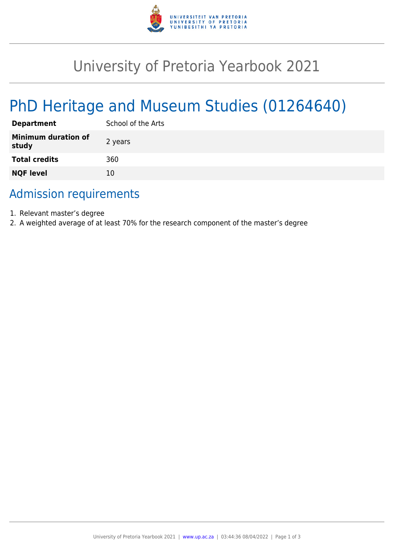

# University of Pretoria Yearbook 2021

# PhD Heritage and Museum Studies (01264640)

| <b>Department</b>                   | School of the Arts |
|-------------------------------------|--------------------|
| <b>Minimum duration of</b><br>study | 2 years            |
| <b>Total credits</b>                | 360                |
| <b>NQF level</b>                    | 10                 |

## Admission requirements

- 1. Relevant master's degree
- 2. A weighted average of at least 70% for the research component of the master's degree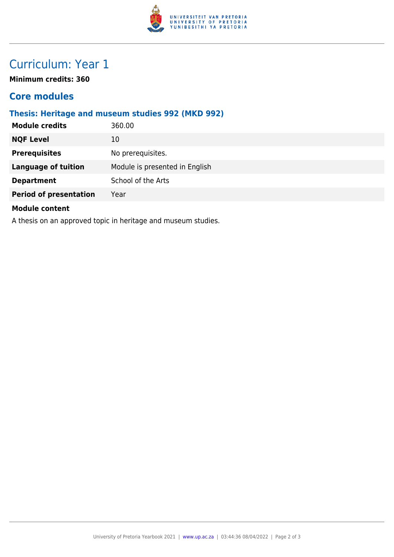

## Curriculum: Year 1

**Minimum credits: 360**

### **Core modules**

#### **Thesis: Heritage and museum studies 992 (MKD 992)**

| <b>Module credits</b>         | 360.00                         |
|-------------------------------|--------------------------------|
| <b>NQF Level</b>              | 10                             |
| <b>Prerequisites</b>          | No prerequisites.              |
| <b>Language of tuition</b>    | Module is presented in English |
| <b>Department</b>             | School of the Arts             |
| <b>Period of presentation</b> | Year                           |
| <b>Module content</b>         |                                |

A thesis on an approved topic in heritage and museum studies.